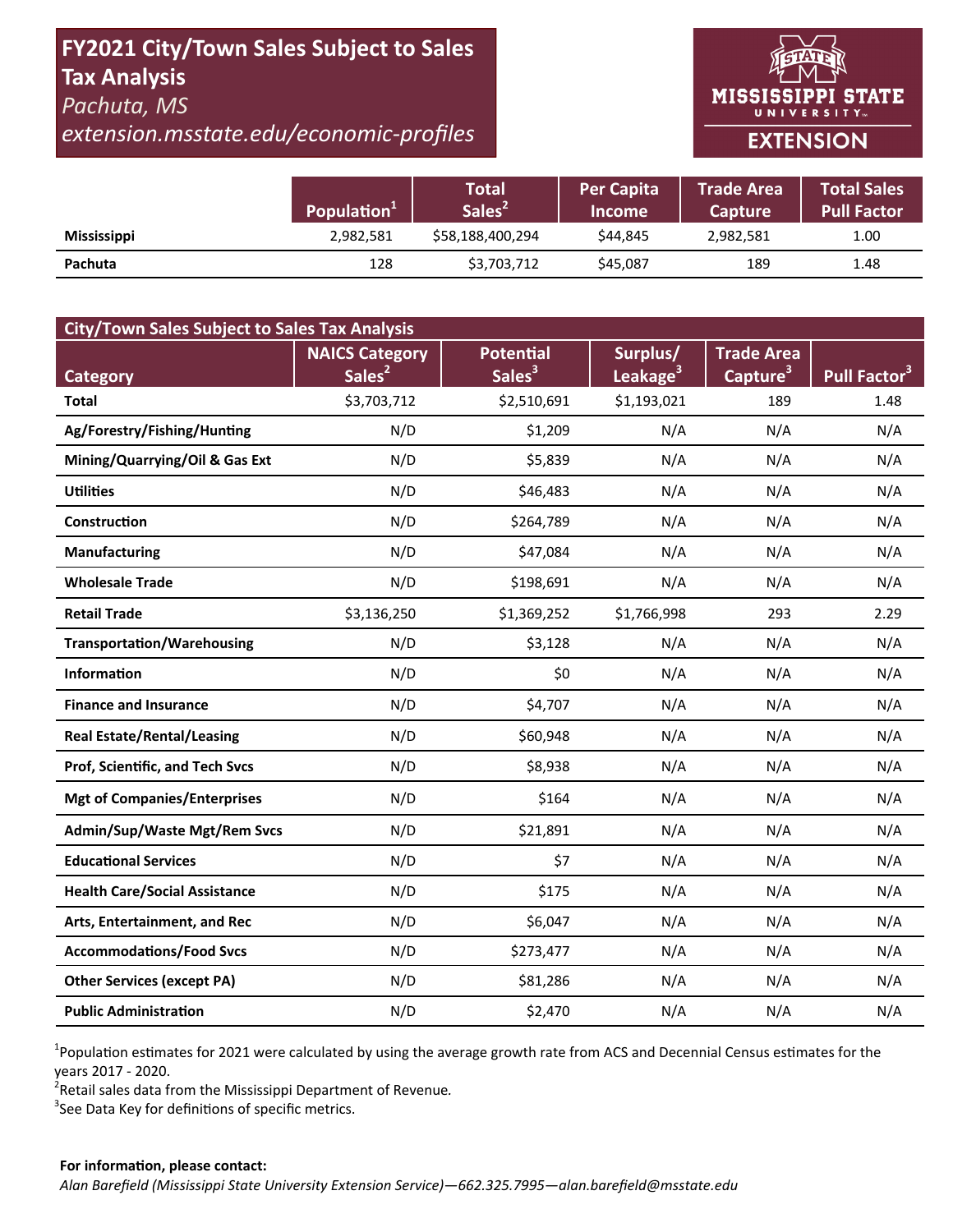# **FY2021 City/Town Sales Subject to Sales Tax Analysis**  *Pachuta, MS*

*extension.msstate.edu/economic‐profiles* 



|                    | Population <sup>1</sup> | <b>Total</b><br>Sales <sup>2</sup> | <b>Per Capita</b><br><b>Income</b> | <b>Trade Area</b><br><b>Capture</b> | <b>Total Sales</b><br><b>Pull Factor</b> |
|--------------------|-------------------------|------------------------------------|------------------------------------|-------------------------------------|------------------------------------------|
| <b>Mississippi</b> | 2,982,581               | \$58,188,400,294                   | \$44.845                           | 2,982,581                           | 1.00                                     |
| Pachuta            | 128                     | \$3,703,712                        | \$45,087                           | 189                                 | 1.48                                     |

| <b>City/Town Sales Subject to Sales Tax Analysis</b> |                       |                    |                      |                      |                          |  |  |  |  |
|------------------------------------------------------|-----------------------|--------------------|----------------------|----------------------|--------------------------|--|--|--|--|
|                                                      | <b>NAICS Category</b> | <b>Potential</b>   | Surplus/             | <b>Trade Area</b>    |                          |  |  |  |  |
| Category                                             | Sales <sup>2</sup>    | Sales <sup>3</sup> | Leakage <sup>3</sup> | Capture <sup>3</sup> | Pull Factor <sup>3</sup> |  |  |  |  |
| <b>Total</b>                                         | \$3,703,712           | \$2,510,691        | \$1,193,021          | 189                  | 1.48                     |  |  |  |  |
| Ag/Forestry/Fishing/Hunting                          | N/D                   | \$1,209            | N/A                  | N/A                  | N/A                      |  |  |  |  |
| Mining/Quarrying/Oil & Gas Ext                       | N/D                   | \$5,839            | N/A                  | N/A                  | N/A                      |  |  |  |  |
| <b>Utilities</b>                                     | N/D                   | \$46,483           | N/A                  | N/A                  | N/A                      |  |  |  |  |
| Construction                                         | N/D                   | \$264,789          | N/A                  | N/A                  | N/A                      |  |  |  |  |
| <b>Manufacturing</b>                                 | N/D                   | \$47,084           | N/A                  | N/A                  | N/A                      |  |  |  |  |
| <b>Wholesale Trade</b>                               | N/D                   | \$198,691          | N/A                  | N/A                  | N/A                      |  |  |  |  |
| <b>Retail Trade</b>                                  | \$3,136,250           | \$1,369,252        | \$1,766,998          | 293                  | 2.29                     |  |  |  |  |
| <b>Transportation/Warehousing</b>                    | N/D                   | \$3,128            | N/A                  | N/A                  | N/A                      |  |  |  |  |
| <b>Information</b>                                   | N/D                   | \$0                | N/A                  | N/A                  | N/A                      |  |  |  |  |
| <b>Finance and Insurance</b>                         | N/D                   | \$4,707            | N/A                  | N/A                  | N/A                      |  |  |  |  |
| <b>Real Estate/Rental/Leasing</b>                    | N/D                   | \$60,948           | N/A                  | N/A                  | N/A                      |  |  |  |  |
| Prof, Scientific, and Tech Svcs                      | N/D                   | \$8,938            | N/A                  | N/A                  | N/A                      |  |  |  |  |
| <b>Mgt of Companies/Enterprises</b>                  | N/D                   | \$164              | N/A                  | N/A                  | N/A                      |  |  |  |  |
| Admin/Sup/Waste Mgt/Rem Svcs                         | N/D                   | \$21,891           | N/A                  | N/A                  | N/A                      |  |  |  |  |
| <b>Educational Services</b>                          | N/D                   | \$7                | N/A                  | N/A                  | N/A                      |  |  |  |  |
| <b>Health Care/Social Assistance</b>                 | N/D                   | \$175              | N/A                  | N/A                  | N/A                      |  |  |  |  |
| Arts, Entertainment, and Rec                         | N/D                   | \$6,047            | N/A                  | N/A                  | N/A                      |  |  |  |  |
| <b>Accommodations/Food Svcs</b>                      | N/D                   | \$273,477          | N/A                  | N/A                  | N/A                      |  |  |  |  |
| <b>Other Services (except PA)</b>                    | N/D                   | \$81,286           | N/A                  | N/A                  | N/A                      |  |  |  |  |
| <b>Public Administration</b>                         | N/D                   | \$2,470            | N/A                  | N/A                  | N/A                      |  |  |  |  |

<sup>1</sup>Population estimates for 2021 were calculated by using the average growth rate from ACS and Decennial Census estimates for the years 2017 ‐ 2020.

2 Retail sales data from the Mississippi Department of Revenue*.* 

 $3$ See Data Key for definitions of specific metrics.

#### **For informaƟon, please contact:**  *Alan Barefield (Mississippi State University Extension Service)—662.325.7995—alan.barefield@msstate.edu*